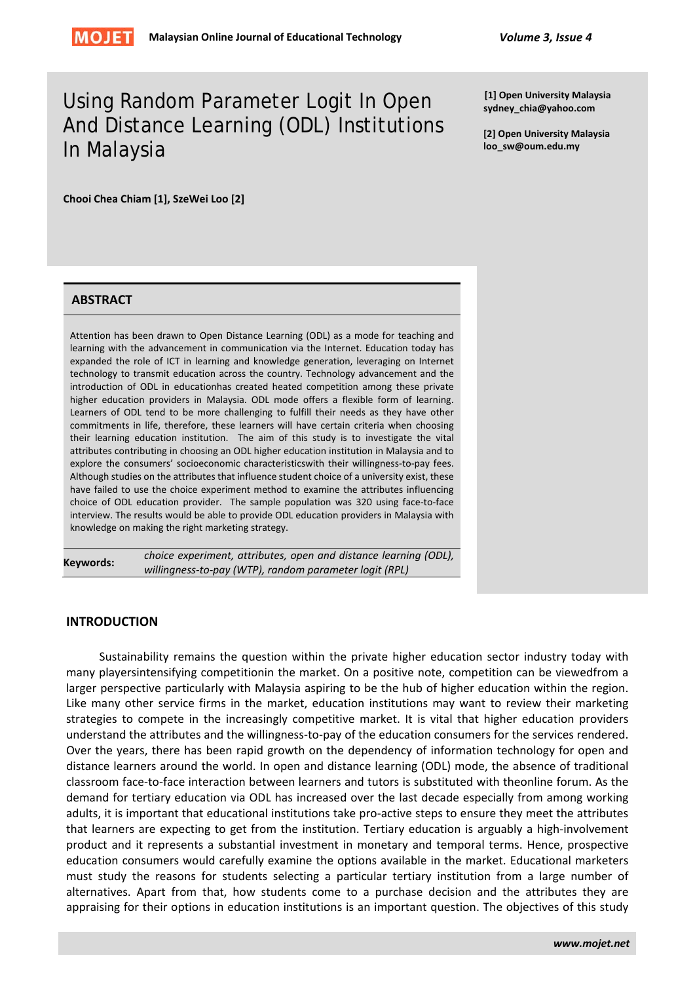# Using Random Parameter Logit In Open And Distance Learning (ODL) Institutions In Malaysia

**[1] Open University Malaysia sydney\_chia@yahoo.com**

**[2] Open University Malaysia loo\_sw@oum.edu.my**

**Chooi Chea Chiam [1], SzeWei Loo [2]**

# **ABSTRACT**

Attention has been drawn to Open Distance Learning (ODL) as a mode for teaching and learning with the advancement in communication via the Internet. Education today has expanded the role of ICT in learning and knowledge generation, leveraging on Internet technology to transmit education across the country. Technology advancement and the introduction of ODL in educationhas created heated competition among these private higher education providers in Malaysia. ODL mode offers a flexible form of learning. Learners of ODL tend to be more challenging to fulfill their needs as they have other commitments in life, therefore, these learners will have certain criteria when choosing their learning education institution. The aim of this study is to investigate the vital attributes contributing in choosing an ODL higher education institution in Malaysia and to explore the consumers' socioeconomic characteristicswith their willingness-to-pay fees. Although studies on the attributes that influence student choice of a university exist, these have failed to use the choice experiment method to examine the attributes influencing choice of ODL education provider. The sample population was 320 using face-to-face interview. The results would be able to provide ODL education providers in Malaysia with knowledge on making the right marketing strategy.

**Keywords:** *choice experiment, attributes, open and distance learning (ODL), willingness-to-pay (WTP), random parameter logit (RPL)*

## **INTRODUCTION**

Sustainability remains the question within the private higher education sector industry today with many playersintensifying competitionin the market. On a positive note, competition can be viewedfrom a larger perspective particularly with Malaysia aspiring to be the hub of higher education within the region. Like many other service firms in the market, education institutions may want to review their marketing strategies to compete in the increasingly competitive market. It is vital that higher education providers understand the attributes and the willingness-to-pay of the education consumers for the services rendered. Over the years, there has been rapid growth on the dependency of information technology for open and distance learners around the world. In open and distance learning (ODL) mode, the absence of traditional classroom face-to-face interaction between learners and tutors is substituted with theonline forum. As the demand for tertiary education via ODL has increased over the last decade especially from among working adults, it is important that educational institutions take pro-active steps to ensure they meet the attributes that learners are expecting to get from the institution. Tertiary education is arguably a high-involvement product and it represents a substantial investment in monetary and temporal terms. Hence, prospective education consumers would carefully examine the options available in the market. Educational marketers must study the reasons for students selecting a particular tertiary institution from a large number of alternatives. Apart from that, how students come to a purchase decision and the attributes they are appraising for their options in education institutions is an important question. The objectives of this study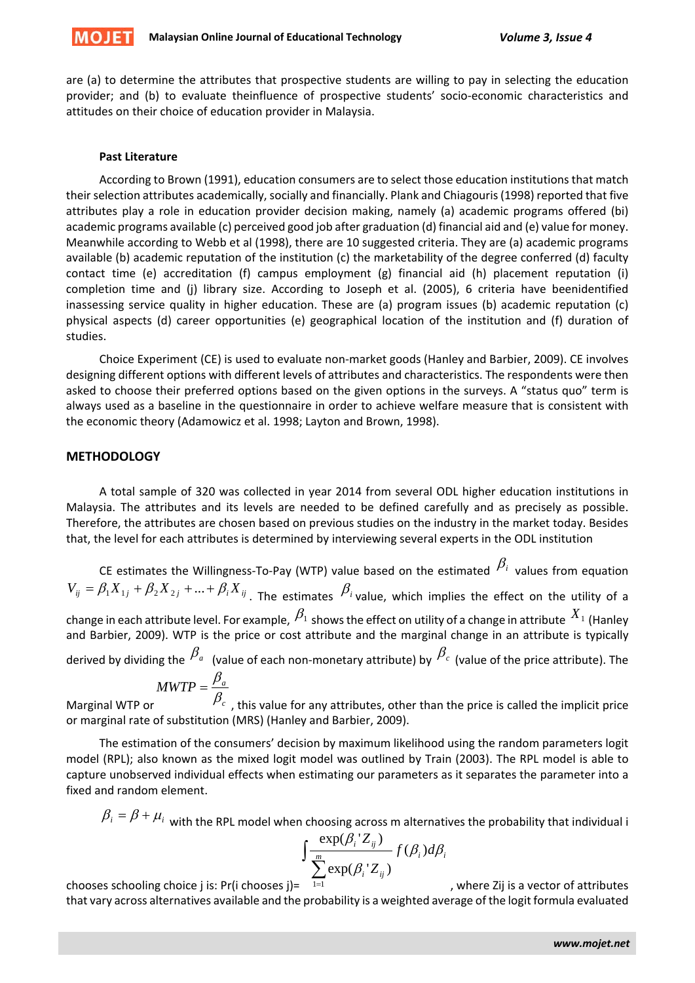

are (a) to determine the attributes that prospective students are willing to pay in selecting the education provider; and (b) to evaluate theinfluence of prospective students' socio-economic characteristics and attitudes on their choice of education provider in Malaysia.

## **Past Literature**

According to Brown (1991), education consumers are to select those education institutions that match their selection attributes academically, socially and financially. Plank and Chiagouris (1998) reported that five attributes play a role in education provider decision making, namely (a) academic programs offered (bi) academic programs available (c) perceived good job after graduation (d) financial aid and (e) value for money. Meanwhile according to Webb et al (1998), there are 10 suggested criteria. They are (a) academic programs available (b) academic reputation of the institution (c) the marketability of the degree conferred (d) faculty contact time (e) accreditation (f) campus employment (g) financial aid (h) placement reputation (i) completion time and (j) library size. According to Joseph et al. (2005), 6 criteria have beenidentified inassessing service quality in higher education. These are (a) program issues (b) academic reputation (c) physical aspects (d) career opportunities (e) geographical location of the institution and (f) duration of studies.

Choice Experiment (CE) is used to evaluate non-market goods (Hanley and Barbier, 2009). CE involves designing different options with different levels of attributes and characteristics. The respondents were then asked to choose their preferred options based on the given options in the surveys. A "status quo" term is always used as a baseline in the questionnaire in order to achieve welfare measure that is consistent with the economic theory (Adamowicz et al. 1998; Layton and Brown, 1998).

## **METHODOLOGY**

A total sample of 320 was collected in year 2014 from several ODL higher education institutions in Malaysia. The attributes and its levels are needed to be defined carefully and as precisely as possible. Therefore, the attributes are chosen based on previous studies on the industry in the market today. Besides that, the level for each attributes is determined by interviewing several experts in the ODL institution

CE estimates the Willingness-To-Pay (WTP) value based on the estimated  $\beta_i$  values from equation  $V_{ij} = \beta_1 X_{1j} + \beta_2 X_{2j} + ... + \beta_i X_{ij}$ . The estimates  $\beta_i$  value, which implies the effect on the utility of a change in each attribute level. For example,  $\beta_1$  shows the effect on utility of a change in attribute  $^{X_1}$  (Hanley and Barbier, 2009). WTP is the price or cost attribute and the marginal change in an attribute is typically derived by dividing the  $\beta_a$  (value of each non-monetary attribute) by  $\beta_c$  (value of the price attribute). The

$$
MWTP = \frac{\beta_a}{\rho}
$$

Marginal WTP or *<sup>c</sup>*  $\beta_c\,$  , this value for any attributes, other than the price is called the implicit price or marginal rate of substitution (MRS) (Hanley and Barbier, 2009).

The estimation of the consumers' decision by maximum likelihood using the random parameters logit model (RPL); also known as the mixed logit model was outlined by Train (2003). The RPL model is able to capture unobserved individual effects when estimating our parameters as it separates the parameter into a fixed and random element.

 $\beta_i = \beta + \mu_i$  with the RPL model when choosing across m alternatives the probability that individual i

$$
\int \frac{\exp(\beta_i \, Z_{ij})}{\sum_{i}^m \exp(\beta_i \, Z_{ij})} f(\beta_i) d\beta_i
$$

chooses schooling choice j is: Pr(i chooses j)=  $\sum_{1=1}^{\infty}$ 

, where Zij is a vector of attributes

that vary across alternatives available and the probability is a weighted average of the logit formula evaluated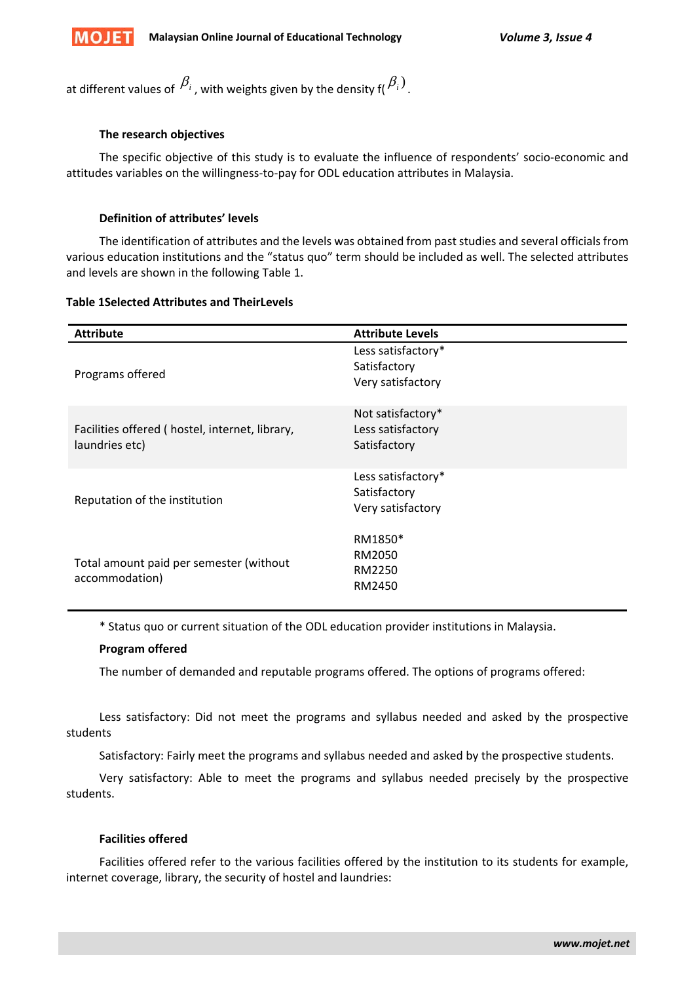

at different values of  $\beta_i$ , with weights given by the density f( $\beta_i$ ).

# **The research objectives**

The specific objective of this study is to evaluate the influence of respondents' socio-economic and attitudes variables on the willingness-to-pay for ODL education attributes in Malaysia.

# **Definition of attributes' levels**

The identification of attributes and the levels was obtained from past studies and several officials from various education institutions and the "status quo" term should be included as well. The selected attributes and levels are shown in the following Table 1.

## **Table 1Selected Attributes and TheirLevels**

| <b>Attribute</b>                                                 | <b>Attribute Levels</b>                                 |
|------------------------------------------------------------------|---------------------------------------------------------|
| Programs offered                                                 | Less satisfactory*<br>Satisfactory<br>Very satisfactory |
| Facilities offered (hostel, internet, library,<br>laundries etc) | Not satisfactory*<br>Less satisfactory<br>Satisfactory  |
| Reputation of the institution                                    | Less satisfactory*<br>Satisfactory<br>Very satisfactory |
| Total amount paid per semester (without<br>accommodation)        | RM1850*<br>RM2050<br>RM2250<br>RM2450                   |

\* Status quo or current situation of the ODL education provider institutions in Malaysia.

## **Program offered**

The number of demanded and reputable programs offered. The options of programs offered:

Less satisfactory: Did not meet the programs and syllabus needed and asked by the prospective students

Satisfactory: Fairly meet the programs and syllabus needed and asked by the prospective students.

Very satisfactory: Able to meet the programs and syllabus needed precisely by the prospective students.

## **Facilities offered**

Facilities offered refer to the various facilities offered by the institution to its students for example, internet coverage, library, the security of hostel and laundries: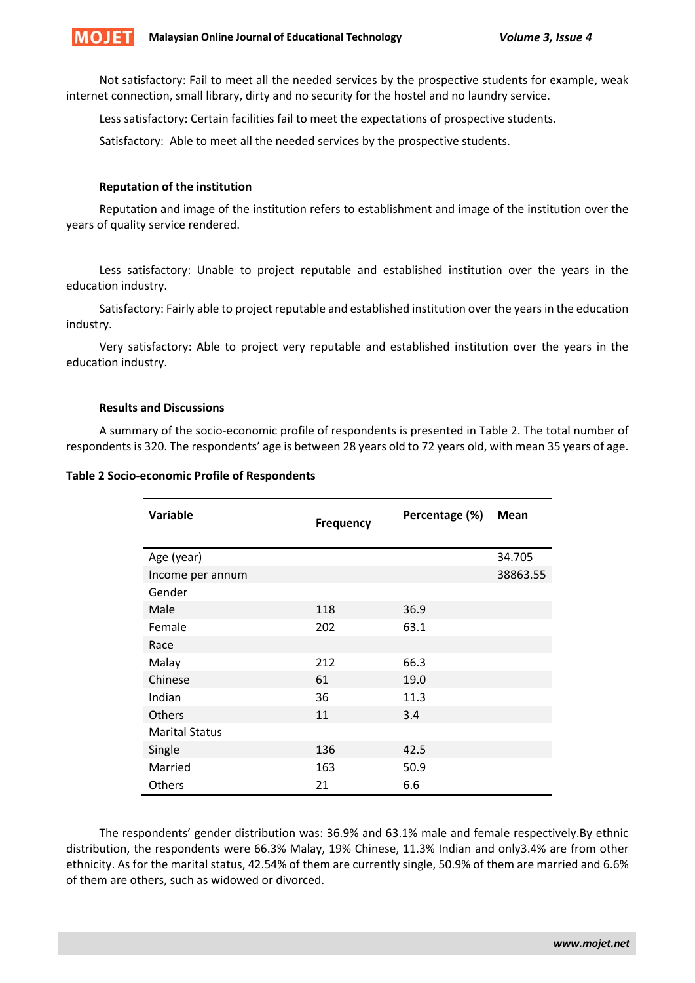

Not satisfactory: Fail to meet all the needed services by the prospective students for example, weak internet connection, small library, dirty and no security for the hostel and no laundry service.

Less satisfactory: Certain facilities fail to meet the expectations of prospective students.

Satisfactory: Able to meet all the needed services by the prospective students.

## **Reputation of the institution**

Reputation and image of the institution refers to establishment and image of the institution over the years of quality service rendered.

Less satisfactory: Unable to project reputable and established institution over the years in the education industry.

Satisfactory: Fairly able to project reputable and established institution over the years in the education industry.

Very satisfactory: Able to project very reputable and established institution over the years in the education industry.

# **Results and Discussions**

A summary of the socio-economic profile of respondents is presented in Table 2. The total number of respondents is 320. The respondents' age is between 28 years old to 72 years old, with mean 35 years of age.

#### **Table 2 Socio-economic Profile of Respondents**

| <b>Variable</b>       | <b>Frequency</b> | Percentage (%) | <b>Mean</b> |
|-----------------------|------------------|----------------|-------------|
| Age (year)            |                  |                | 34.705      |
| Income per annum      |                  |                | 38863.55    |
| Gender                |                  |                |             |
| Male                  | 118              | 36.9           |             |
| Female                | 202              | 63.1           |             |
| Race                  |                  |                |             |
| Malay                 | 212              | 66.3           |             |
| Chinese               | 61               | 19.0           |             |
| Indian                | 36               | 11.3           |             |
| Others                | 11               | 3.4            |             |
| <b>Marital Status</b> |                  |                |             |
| Single                | 136              | 42.5           |             |
| Married               | 163              | 50.9           |             |
| Others                | 21               | 6.6            |             |

The respondents' gender distribution was: 36.9% and 63.1% male and female respectively.By ethnic distribution, the respondents were 66.3% Malay, 19% Chinese, 11.3% Indian and only3.4% are from other ethnicity. As for the marital status, 42.54% of them are currently single, 50.9% of them are married and 6.6% of them are others, such as widowed or divorced.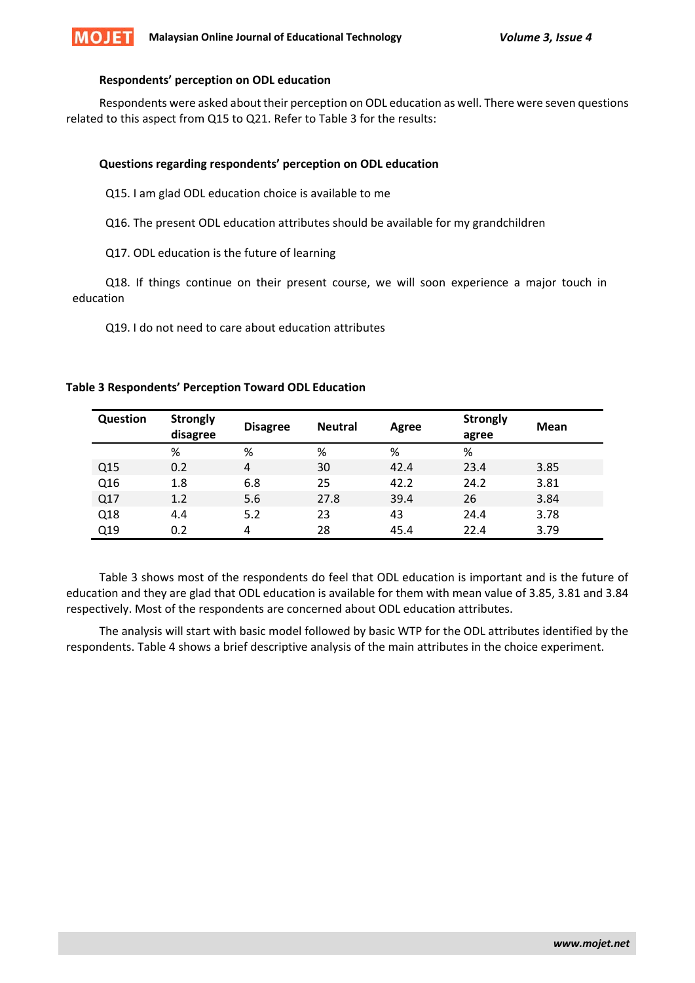

#### **Respondents' perception on ODL education**

Respondents were asked about their perception on ODL education as well. There were seven questions related to this aspect from Q15 to Q21. Refer to Table 3 for the results:

#### **Questions regarding respondents' perception on ODL education**

- Q15. I am glad ODL education choice is available to me
- Q16. The present ODL education attributes should be available for my grandchildren
- Q17. ODL education is the future of learning

Q18. If things continue on their present course, we will soon experience a major touch in education

Q19. I do not need to care about education attributes

| Question | <b>Strongly</b> | <b>Disagree</b> | <b>Neutral</b> | Agree | <b>Strongly</b> | <b>Mean</b> |
|----------|-----------------|-----------------|----------------|-------|-----------------|-------------|
|          | disagree        |                 |                |       | agree           |             |
|          | %               | %               | %              | %     | %               |             |
| Q15      | 0.2             | 4               | 30             | 42.4  | 23.4            | 3.85        |
| Q16      | 1.8             | 6.8             | 25             | 42.2  | 24.2            | 3.81        |
| Q17      | 1.2             | 5.6             | 27.8           | 39.4  | 26              | 3.84        |
| Q18      | 4.4             | 5.2             | 23             | 43    | 24.4            | 3.78        |
| Q19      | 0.2             | 4               | 28             | 45.4  | 22.4            | 3.79        |

### **Table 3 Respondents' Perception Toward ODL Education**

Table 3 shows most of the respondents do feel that ODL education is important and is the future of education and they are glad that ODL education is available for them with mean value of 3.85, 3.81 and 3.84 respectively. Most of the respondents are concerned about ODL education attributes.

The analysis will start with basic model followed by basic WTP for the ODL attributes identified by the respondents. Table 4 shows a brief descriptive analysis of the main attributes in the choice experiment.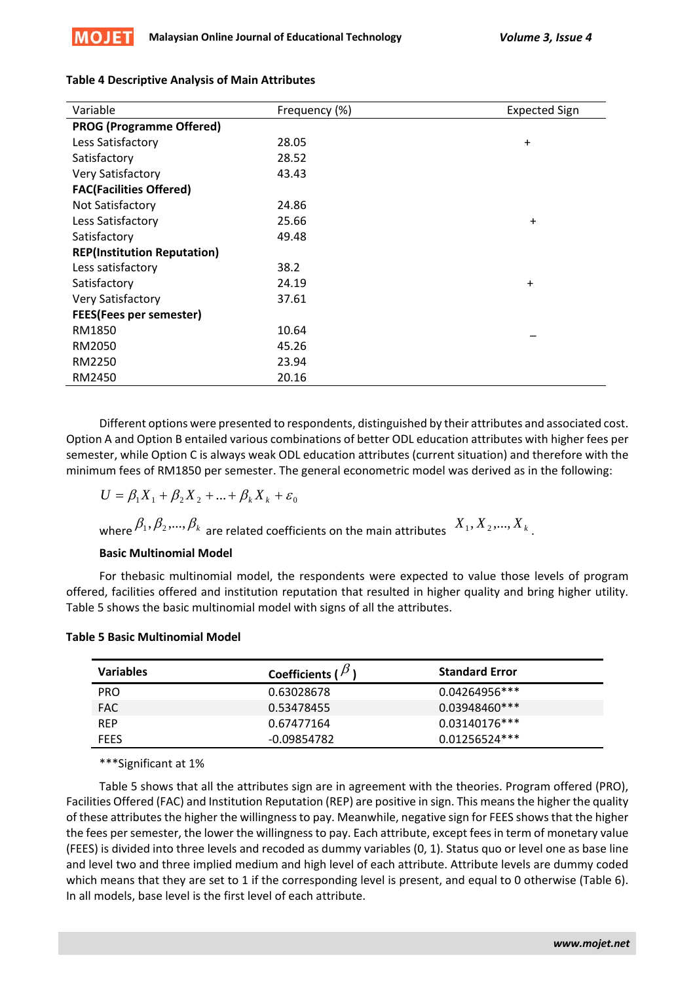

| <b>Table 4 Descriptive Analysis of Main Attributes</b> |  |
|--------------------------------------------------------|--|
|                                                        |  |

| Variable                           | Frequency (%) | <b>Expected Sign</b> |
|------------------------------------|---------------|----------------------|
| <b>PROG (Programme Offered)</b>    |               |                      |
| Less Satisfactory                  | 28.05         | $\ddot{}$            |
| Satisfactory                       | 28.52         |                      |
| Very Satisfactory                  | 43.43         |                      |
| <b>FAC(Facilities Offered)</b>     |               |                      |
| Not Satisfactory                   | 24.86         |                      |
| Less Satisfactory                  | 25.66         | $\ddot{}$            |
| Satisfactory                       | 49.48         |                      |
| <b>REP(Institution Reputation)</b> |               |                      |
| Less satisfactory                  | 38.2          |                      |
| Satisfactory                       | 24.19         | $\ddot{}$            |
| Very Satisfactory                  | 37.61         |                      |
| <b>FEES(Fees per semester)</b>     |               |                      |
| RM1850                             | 10.64         |                      |
| RM2050                             | 45.26         |                      |
| RM2250                             | 23.94         |                      |
| RM2450                             | 20.16         |                      |

Different options were presented to respondents, distinguished by their attributes and associated cost. Option A and Option B entailed various combinations of better ODL education attributes with higher fees per semester, while Option C is always weak ODL education attributes (current situation) and therefore with the minimum fees of RM1850 per semester. The general econometric model was derived as in the following:

$$
U = \beta_1 X_1 + \beta_2 X_2 + \dots + \beta_k X_k + \varepsilon_0
$$

where  $\beta_1, \beta_2, ..., \beta_k$  are related coefficients on the main attributes  $X_1, X_2, ..., X_k$ .

# **Basic Multinomial Model**

For thebasic multinomial model, the respondents were expected to value those levels of program offered, facilities offered and institution reputation that resulted in higher quality and bring higher utility. Table 5 shows the basic multinomial model with signs of all the attributes.

| <b>Variables</b> | Coefficients ( $P$ ) | <b>Standard Error</b> |
|------------------|----------------------|-----------------------|
| <b>PRO</b>       | 0.63028678           | $0.04264956***$       |
| <b>FAC</b>       | 0.53478455           | $0.03948460***$       |
| <b>REP</b>       | 0.67477164           | $0.03140176***$       |
| <b>FEES</b>      | -0.09854782          | $0.01256524***$       |

## **Table 5 Basic Multinomial Model**

\*\*\*Significant at 1%

Table 5 shows that all the attributes sign are in agreement with the theories. Program offered (PRO), Facilities Offered (FAC) and Institution Reputation (REP) are positive in sign. This means the higher the quality of these attributes the higher the willingness to pay. Meanwhile, negative sign for FEES shows that the higher the fees per semester, the lower the willingness to pay. Each attribute, except fees in term of monetary value (FEES) is divided into three levels and recoded as dummy variables (0, 1). Status quo or level one as base line and level two and three implied medium and high level of each attribute. Attribute levels are dummy coded which means that they are set to 1 if the corresponding level is present, and equal to 0 otherwise (Table 6). In all models, base level is the first level of each attribute.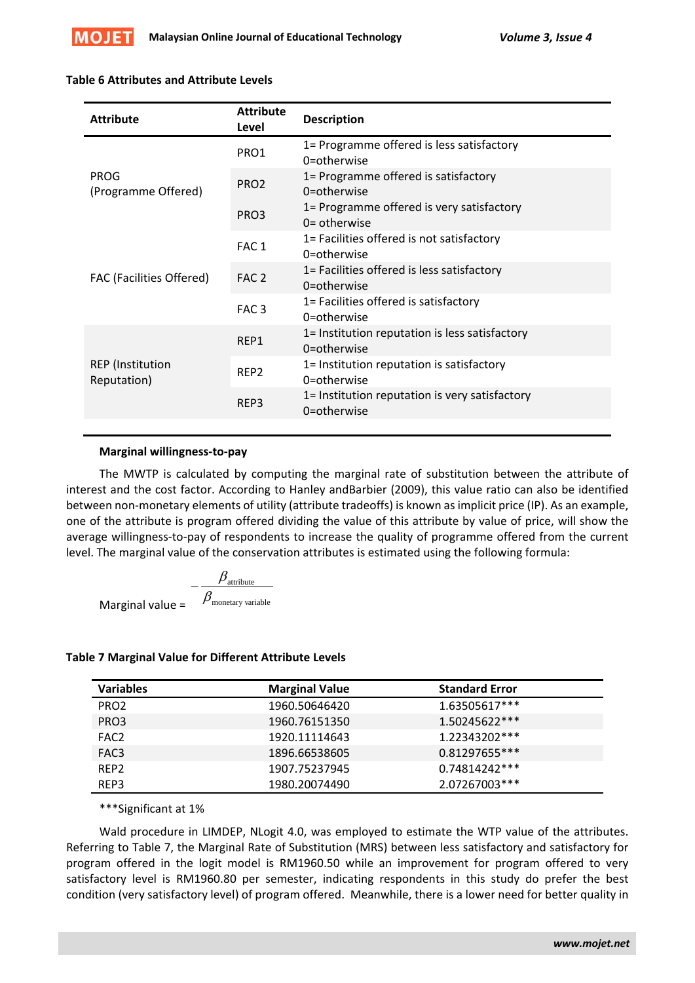

## **Table 6 Attributes and Attribute Levels**

| <b>Attribute</b>                       | <b>Attribute</b><br>Level | <b>Description</b>                                            |
|----------------------------------------|---------------------------|---------------------------------------------------------------|
| <b>PROG</b><br>(Programme Offered)     | PRO1                      | 1= Programme offered is less satisfactory<br>0=otherwise      |
|                                        | PRO <sub>2</sub>          | 1= Programme offered is satisfactory<br>0=otherwise           |
|                                        | PRO3                      | 1= Programme offered is very satisfactory<br>$0 =$ otherwise  |
| <b>FAC (Facilities Offered)</b>        | FAC <sub>1</sub>          | 1= Facilities offered is not satisfactory<br>0=otherwise      |
|                                        | FAC <sub>2</sub>          | 1= Facilities offered is less satisfactory<br>0=otherwise     |
|                                        | FAC <sub>3</sub>          | 1= Facilities offered is satisfactory<br>0=otherwise          |
| <b>REP</b> (Institution<br>Reputation) | REP1                      | 1= Institution reputation is less satisfactory<br>0=otherwise |
|                                        | REP <sub>2</sub>          | 1= Institution reputation is satisfactory<br>0=otherwise      |
|                                        | REP3                      | 1= Institution reputation is very satisfactory<br>0=otherwise |
|                                        |                           |                                                               |

## **Marginal willingness-to-pay**

The MWTP is calculated by computing the marginal rate of substitution between the attribute of interest and the cost factor. According to Hanley andBarbier (2009), this value ratio can also be identified between non-monetary elements of utility (attribute tradeoffs) is known as implicit price (IP). As an example, one of the attribute is program offered dividing the value of this attribute by value of price, will show the average willingness-to-pay of respondents to increase the quality of programme offered from the current level. The marginal value of the conservation attributes is estimated using the following formula:

$$
-\frac{\beta_{\text{attribute}}}{\beta_{\text{monetary variable}}}
$$
 Marginal value =

## **Table 7 Marginal Value for Different Attribute Levels**

| <b>Variables</b> | <b>Marginal Value</b> | <b>Standard Error</b> |
|------------------|-----------------------|-----------------------|
| PRO <sub>2</sub> | 1960.50646420         | 1.63505617***         |
| PRO3             | 1960.76151350         | 1.50245622***         |
| FAC <sub>2</sub> | 1920.11114643         | 1.22343202***         |
| FAC3             | 1896.66538605         | 0.81297655***         |
| REP <sub>2</sub> | 1907.75237945         | 0.74814242***         |
| REP3             | 1980.20074490         | 2.07267003***         |

#### \*\*\*Significant at 1%

Wald procedure in LIMDEP, NLogit 4.0, was employed to estimate the WTP value of the attributes. Referring to Table 7, the Marginal Rate of Substitution (MRS) between less satisfactory and satisfactory for program offered in the logit model is RM1960.50 while an improvement for program offered to very satisfactory level is RM1960.80 per semester, indicating respondents in this study do prefer the best condition (very satisfactory level) of program offered. Meanwhile, there is a lower need for better quality in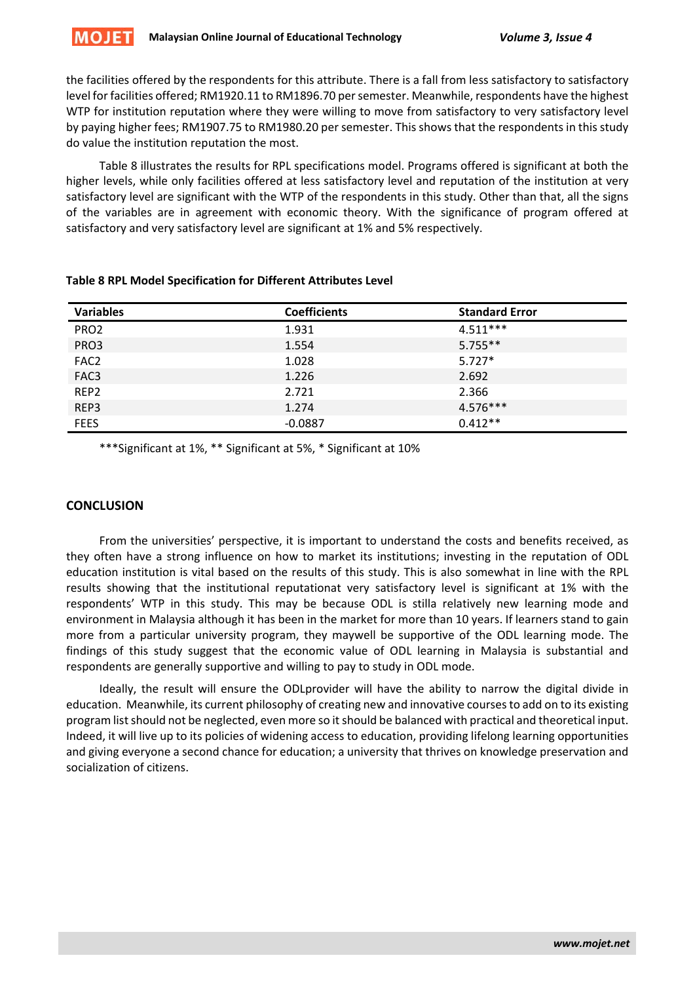the facilities offered by the respondents for this attribute. There is a fall from less satisfactory to satisfactory level for facilities offered; RM1920.11 to RM1896.70 per semester. Meanwhile, respondents have the highest WTP for institution reputation where they were willing to move from satisfactory to very satisfactory level by paying higher fees; RM1907.75 to RM1980.20 per semester. This shows that the respondents in this study do value the institution reputation the most.

Table 8 illustrates the results for RPL specifications model. Programs offered is significant at both the higher levels, while only facilities offered at less satisfactory level and reputation of the institution at very satisfactory level are significant with the WTP of the respondents in this study. Other than that, all the signs of the variables are in agreement with economic theory. With the significance of program offered at satisfactory and very satisfactory level are significant at 1% and 5% respectively.

| <b>Variables</b> | <b>Coefficients</b> | <b>Standard Error</b> |
|------------------|---------------------|-----------------------|
| PRO <sub>2</sub> | 1.931               | $4.511***$            |
| PRO3             | 1.554               | $5.755**$             |
| FAC <sub>2</sub> | 1.028               | $5.727*$              |
| FAC3             | 1.226               | 2.692                 |
| REP <sub>2</sub> | 2.721               | 2.366                 |
| REP3             | 1.274               | $4.576***$            |
| <b>FEES</b>      | $-0.0887$           | $0.412**$             |

## **Table 8 RPL Model Specification for Different Attributes Level**

\*\*\*Significant at 1%, \*\* Significant at 5%, \* Significant at 10%

# **CONCLUSION**

From the universities' perspective, it is important to understand the costs and benefits received, as they often have a strong influence on how to market its institutions; investing in the reputation of ODL education institution is vital based on the results of this study. This is also somewhat in line with the RPL results showing that the institutional reputationat very satisfactory level is significant at 1% with the respondents' WTP in this study. This may be because ODL is stilla relatively new learning mode and environment in Malaysia although it has been in the market for more than 10 years. If learners stand to gain more from a particular university program, they maywell be supportive of the ODL learning mode. The findings of this study suggest that the economic value of ODL learning in Malaysia is substantial and respondents are generally supportive and willing to pay to study in ODL mode.

Ideally, the result will ensure the ODLprovider will have the ability to narrow the digital divide in education. Meanwhile, its current philosophy of creating new and innovative courses to add on to its existing program list should not be neglected, even more so it should be balanced with practical and theoretical input. Indeed, it will live up to its policies of widening access to education, providing lifelong learning opportunities and giving everyone a second chance for education; a university that thrives on knowledge preservation and socialization of citizens.